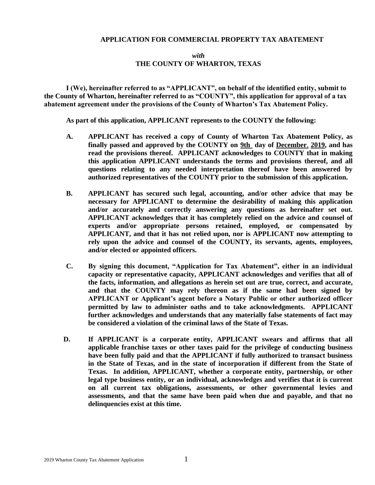### **APPLICATION FOR COMMERCIAL PROPERTY TAX ABATEMENT**

## *with* **THE COUNTY OF WHARTON, TEXAS**

**I (We), hereinafter referred to as "APPLICANT", on behalf of the identified entity, submit to the County of Wharton, hereinafter referred to as "COUNTY", this application for approval of a tax abatement agreement under the provisions of the County of Wharton's Tax Abatement Policy.**

**As part of this application, APPLICANT represents to the COUNTY the following:**

- **A. APPLICANT has received a copy of County of Wharton Tax Abatement Policy, as finally passed and approved by the COUNTY on 9th day of December**, **2019, and has read the provisions thereof. APPLICANT acknowledges to COUNTY that in making this application APPLICANT understands the terms and provisions thereof, and all questions relating to any needed interpretation thereof have been answered by authorized representatives of the COUNTY prior to the submission of this application.**
- **B. APPLICANT has secured such legal, accounting, and/or other advice that may be necessary for APPLICANT to determine the desirability of making this application and/or accurately and correctly answering any questions as hereinafter set out. APPLICANT acknowledges that it has completely relied on the advice and counsel of experts and/or appropriate persons retained, employed, or compensated by APPLICANT, and that it has not relied upon, nor is APPLICANT now attempting to rely upon the advice and counsel of the COUNTY, its servants, agents, employees, and/or elected or appointed officers.**
- **C. By signing this document, "Application for Tax Abatement", either in an individual capacity or representative capacity, APPLICANT acknowledges and verifies that all of the facts, information, and allegations as herein set out are true, correct, and accurate, and that the COUNTY may rely thereon as if the same had been signed by APPLICANT or Applicant's agent before a Notary Public or other authorized officer permitted by law to administer oaths and to take acknowledgments. APPLICANT further acknowledges and understands that any materially false statements of fact may be considered a violation of the criminal laws of the State of Texas.**
- **D. If APPLICANT is a corporate entity, APPLICANT swears and affirms that all applicable franchise taxes or other taxes paid for the privilege of conducting business have been fully paid and that the APPLICANT if fully authorized to transact business in the State of Texas, and in the state of incorporation if different from the State of Texas. In addition, APPLICANT, whether a corporate entity, partnership, or other legal type business entity, or an individual, acknowledges and verifies that it is current on all current tax obligations, assessments, or other governmental levies and assessments, and that the same have been paid when due and payable, and that no delinquencies exist at this time.**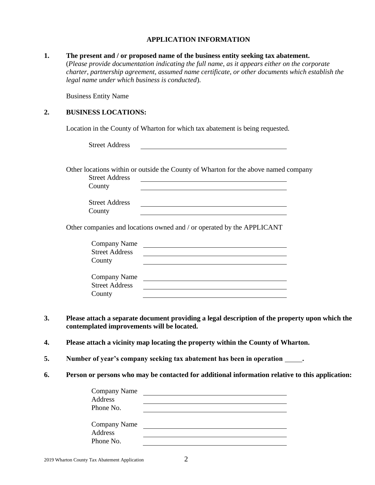### **APPLICATION INFORMATION**

#### **1. The present and / or proposed name of the business entity seeking tax abatement.**

(*Please provide documentation indicating the full name, as it appears either on the corporate charter, partnership agreement, assumed name certificate, or other documents which establish the legal name under which business is conducted*).

Business Entity Name

# **2. BUSINESS LOCATIONS:**

Location in the County of Wharton for which tax abatement is being requested.

Other locations within or outside the County of Wharton for the above named company

| <b>Street Address</b> |  |
|-----------------------|--|
| County                |  |

| <b>Street Address</b> |  |
|-----------------------|--|
| County                |  |

Other companies and locations owned and / or operated by the APPLICANT

| <b>Company Name</b>   |  |
|-----------------------|--|
| <b>Street Address</b> |  |
| County                |  |
|                       |  |
| <b>Company Name</b>   |  |
| <b>Street Address</b> |  |
| County                |  |

- **3. Please attach a separate document providing a legal description of the property upon which the contemplated improvements will be located.**
- **4. Please attach a vicinity map locating the property within the County of Wharton.**
- **5. Number of year's company seeking tax abatement has been in operation .**
- **6. Person or persons who may be contacted for additional information relative to this application:**

| <b>Company Name</b> |  |  |
|---------------------|--|--|
| Address             |  |  |
| Phone No.           |  |  |
|                     |  |  |
| <b>Company Name</b> |  |  |
| <b>Address</b>      |  |  |
| Phone No.           |  |  |
|                     |  |  |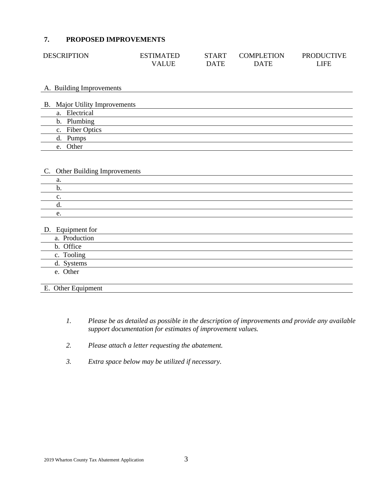# **7. PROPOSED IMPROVEMENTS**

| <b>DESCRIPTION</b> | <b>ESTIMATED</b> | <b>START</b> | <b>COMPLETION</b> | <b>PRODUCTIVE</b> |
|--------------------|------------------|--------------|-------------------|-------------------|
|                    | <b>VALUE</b>     | <b>DATE</b>  | <b>DATE</b>       | .IFE              |

### A. Building Improvements

| B. Major Utility Improvements |
|-------------------------------|
| a. Electrical                 |
| b. Plumbing                   |
| c. Fiber Optics               |
| d. Pumps                      |
| Other<br>e.                   |

### C. Other Building Improvements

## D. Equipment for

| a. Production |
|---------------|
| b. Office     |
| c. Tooling    |
| d. Systems    |
| e. Other      |
|               |
|               |

# E. Other Equipment

- *1. Please be as detailed as possible in the description of improvements and provide any available support documentation for estimates of improvement values.*
- *2. Please attach a letter requesting the abatement.*
- *3. Extra space below may be utilized if necessary.*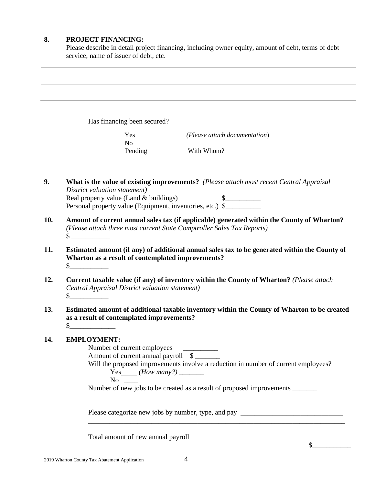## **8. PROJECT FINANCING:**

Please describe in detail project financing, including owner equity, amount of debt, terms of debt service, name of issuer of debt, etc.

Has financing been secured?

| Yes            | (Please attach documentation) |
|----------------|-------------------------------|
| N <sub>0</sub> |                               |
| Pending        | With Whom?                    |

- **9. What is the value of existing improvements?** *(Please attach most recent Central Appraisal District valuation statement)* Real property value (Land & buildings)  $\qquad \qquad$  \$ Personal property value (Equipment, inventories, etc.) \$
- **10. Amount of current annual sales tax (if applicable) generated within the County of Wharton?** *(Please attach three most current State Comptroller Sales Tax Reports)*  $\sim$
- **11. Estimated amount (if any) of additional annual sales tax to be generated within the County of Wharton as a result of contemplated improvements?**  $\mathbb S$
- **12. Current taxable value (if any) of inventory within the County of Wharton?** *(Please attach Central Appraisal District valuation statement)*  $\mathbb S$
- **13. Estimated amount of additional taxable inventory within the County of Wharton to be created as a result of contemplated improvements?**  $\mathbb S$

# **14. EMPLOYMENT:**

Number of current employees \_\_\_\_\_\_\_\_\_\_

Amount of current annual payroll  $\quad \quad$ 

Will the proposed improvements involve a reduction in number of current employees?

\_\_\_\_\_\_\_\_\_\_\_\_\_\_\_\_\_\_\_\_\_\_\_\_\_\_\_\_\_\_\_\_\_\_\_\_\_\_\_\_\_\_\_\_\_\_\_\_\_\_\_\_\_\_\_\_\_\_\_\_\_\_\_\_\_\_\_\_\_\_\_\_\_

Yes *(How many?)* \_\_\_\_\_\_\_

 $No$ 

Number of new jobs to be created as a result of proposed improvements \_\_\_\_\_\_\_\_\_\_

Please categorize new jobs by number, type, and pay \_\_\_\_\_\_\_\_\_\_\_\_\_\_\_\_\_\_\_\_\_\_\_\_\_\_\_\_\_

Total amount of new annual payroll

 $\frac{1}{2}$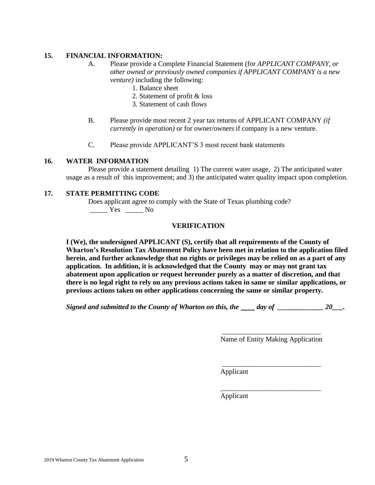## **15. FINANCIAL INFORMATION:**

- A. Please provide a Complete Financial Statement (for *APPLICANT COMPANY, or other owned or previously owned companies if APPLICANT COMPANY is a new venture)* including the following:
	- 1. Balance sheet
	- 2. Statement of profit & loss
	- 3. Statement of cash flows
- B. Please provide most recent 2 year tax returns of APPLICANT COMPANY *(if currently in operation)* or for owner/owners if company is a new venture.
- C. Please provide APPLICANT'S 3 most recent bank statements

### **16. WATER INFORMATION**

Please provide a statement detailing 1) The current water usage, 2) The anticipated water usage as a result of this improvement; and 3) the anticipated water quality impact upon completion.

### **17. STATE PERMITTING CODE**

Does applicant agree to comply with the State of Texas plumbing code? \_\_\_\_\_ Yes \_\_\_\_\_ No

# **VERIFICATION**

**I (We), the undersigned APPLICANT (S), certify that all requirements of the County of Wharton's Resolution Tax Abatement Policy have been met in relation to the application filed herein, and further acknowledge that no rights or privileges may be relied on as a part of any application. In addition, it is acknowledged that the County may or may not grant tax abatement upon application or request hereunder purely as a matter of discretion, and that there is no legal right to rely on any previous actions taken in same or similar applications, or previous actions taken on other applications concerning the same or similar property.**

*Signed and submitted to the County of Wharton on this, the day of*  $20$ *.* 

\_\_\_\_\_\_\_\_\_\_\_\_\_\_\_\_\_\_\_\_\_\_\_\_\_\_\_\_ Name of Entity Making Application

\_\_\_\_\_\_\_\_\_\_\_\_\_\_\_\_\_\_\_\_\_\_\_\_\_\_\_\_

\_\_\_\_\_\_\_\_\_\_\_\_\_\_\_\_\_\_\_\_\_\_\_\_\_\_\_\_

Applicant

Applicant